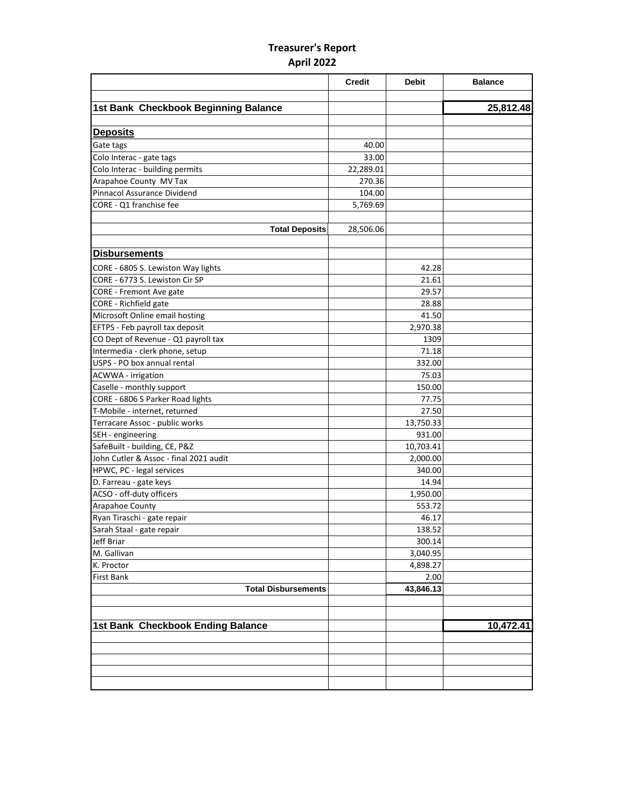## **Treasurer's Report April 2022**

|                                        | <b>Credit</b> | <b>Debit</b> | <b>Balance</b> |
|----------------------------------------|---------------|--------------|----------------|
| 1st Bank Checkbook Beginning Balance   |               |              | 25,812.48      |
|                                        |               |              |                |
| <b>Deposits</b>                        |               |              |                |
| Gate tags                              | 40.00         |              |                |
| Colo Interac - gate tags               | 33.00         |              |                |
| Colo Interac - building permits        | 22,289.01     |              |                |
| Arapahoe County MV Tax                 | 270.36        |              |                |
| <b>Pinnacol Assurance Dividend</b>     | 104.00        |              |                |
| CORE - Q1 franchise fee                | 5,769.69      |              |                |
|                                        |               |              |                |
| <b>Total Deposits</b>                  | 28,506.06     |              |                |
|                                        |               |              |                |
| <b>Disbursements</b>                   |               |              |                |
| CORE - 6805 S. Lewiston Way lights     |               | 42.28        |                |
| CORE - 6773 S. Lewiston Cir SP         |               | 21.61        |                |
| CORE - Fremont Ave gate                |               | 29.57        |                |
| CORE - Richfield gate                  |               | 28.88        |                |
| Microsoft Online email hosting         |               | 41.50        |                |
| EFTPS - Feb payroll tax deposit        |               | 2,970.38     |                |
| CO Dept of Revenue - Q1 payroll tax    |               | 1309         |                |
| Intermedia - clerk phone, setup        |               | 71.18        |                |
| USPS - PO box annual rental            |               | 332.00       |                |
| <b>ACWWA</b> - irrigation              |               | 75.03        |                |
| Caselle - monthly support              |               | 150.00       |                |
| CORE - 6806 S Parker Road lights       |               | 77.75        |                |
| T-Mobile - internet, returned          |               | 27.50        |                |
| Terracare Assoc - public works         |               | 13,750.33    |                |
| SEH - engineering                      |               | 931.00       |                |
| SafeBuilt - building, CE, P&Z          |               | 10,703.41    |                |
| John Cutler & Assoc - final 2021 audit |               | 2,000.00     |                |
| HPWC, PC - legal services              |               | 340.00       |                |
| D. Farreau - gate keys                 |               | 14.94        |                |
| ACSO - off-duty officers               |               | 1,950.00     |                |
| Arapahoe County                        |               | 553.72       |                |
| Ryan Tiraschi - gate repair            |               | 46.17        |                |
| Sarah Staal - gate repair              |               | 138.52       |                |
| Jeff Briar                             |               | 300.14       |                |
| M. Gallivan                            |               | 3,040.95     |                |
| K. Proctor                             |               | 4,898.27     |                |
| First Bank                             |               | 2.00         |                |
| <b>Total Disbursements</b>             |               | 43,846.13    |                |
|                                        |               |              |                |
|                                        |               |              |                |
| 1st Bank Checkbook Ending Balance      |               |              | 10,472.41      |
|                                        |               |              |                |
|                                        |               |              |                |
|                                        |               |              |                |
|                                        |               |              |                |
|                                        |               |              |                |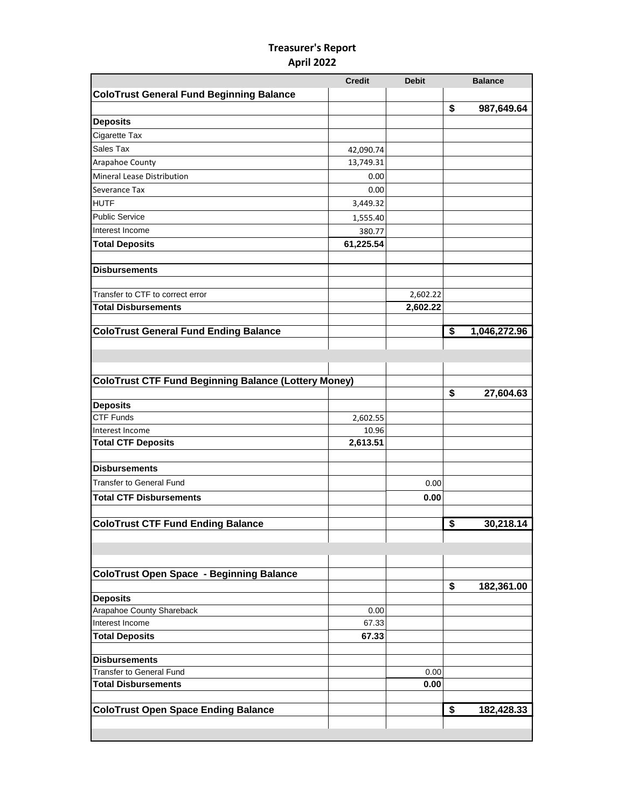## **Treasurer's Report April 2022**

|                                                             | <b>Credit</b> | <b>Debit</b> |                                      | <b>Balance</b>          |
|-------------------------------------------------------------|---------------|--------------|--------------------------------------|-------------------------|
| <b>ColoTrust General Fund Beginning Balance</b>             |               |              |                                      |                         |
|                                                             |               |              | \$                                   | 987,649.64              |
| <b>Deposits</b>                                             |               |              |                                      |                         |
| Cigarette Tax                                               |               |              |                                      |                         |
| Sales Tax                                                   | 42,090.74     |              |                                      |                         |
| Arapahoe County                                             | 13,749.31     |              |                                      |                         |
| Mineral Lease Distribution                                  | 0.00          |              |                                      |                         |
| Severance Tax                                               | 0.00          |              |                                      |                         |
| <b>HUTF</b>                                                 | 3,449.32      |              |                                      |                         |
| <b>Public Service</b>                                       |               |              |                                      |                         |
|                                                             | 1,555.40      |              |                                      |                         |
| Interest Income                                             | 380.77        |              |                                      |                         |
| <b>Total Deposits</b>                                       | 61,225.54     |              |                                      |                         |
| <b>Disbursements</b>                                        |               |              |                                      |                         |
| Transfer to CTF to correct error                            |               | 2,602.22     |                                      |                         |
| <b>Total Disbursements</b>                                  |               | 2,602.22     |                                      |                         |
|                                                             |               |              |                                      |                         |
| <b>ColoTrust General Fund Ending Balance</b>                |               |              | $\overline{\boldsymbol{\mathsf{s}}}$ | 1,046,272.96            |
|                                                             |               |              |                                      |                         |
|                                                             |               |              |                                      |                         |
| <b>ColoTrust CTF Fund Beginning Balance (Lottery Money)</b> |               |              |                                      |                         |
|                                                             |               |              | \$                                   | 27,604.63               |
| <b>Deposits</b>                                             |               |              |                                      |                         |
| <b>CTF Funds</b>                                            | 2,602.55      |              |                                      |                         |
| Interest Income                                             | 10.96         |              |                                      |                         |
| <b>Total CTF Deposits</b>                                   | 2,613.51      |              |                                      |                         |
|                                                             |               |              |                                      |                         |
| <b>Disbursements</b>                                        |               |              |                                      |                         |
| <b>Transfer to General Fund</b>                             |               | 0.00         |                                      |                         |
| <b>Total CTF Disbursements</b>                              |               | 0.00         |                                      |                         |
|                                                             |               |              |                                      |                         |
| <b>ColoTrust CTF Fund Ending Balance</b>                    |               |              | \$                                   |                         |
|                                                             |               |              |                                      |                         |
|                                                             |               |              |                                      |                         |
| <b>ColoTrust Open Space - Beginning Balance</b>             |               |              |                                      |                         |
|                                                             |               |              | \$                                   | 182,361.00              |
| <b>Deposits</b>                                             |               |              |                                      |                         |
| Arapahoe County Shareback                                   | 0.00          |              |                                      |                         |
| Interest Income                                             | 67.33         |              |                                      |                         |
| <b>Total Deposits</b>                                       | 67.33         |              |                                      |                         |
|                                                             |               |              |                                      |                         |
| <b>Disbursements</b>                                        |               |              |                                      |                         |
| Transfer to General Fund                                    |               | 0.00         |                                      |                         |
| <b>Total Disbursements</b>                                  |               | 0.00         |                                      |                         |
| <b>ColoTrust Open Space Ending Balance</b>                  |               |              | \$                                   | 30,218.14<br>182,428.33 |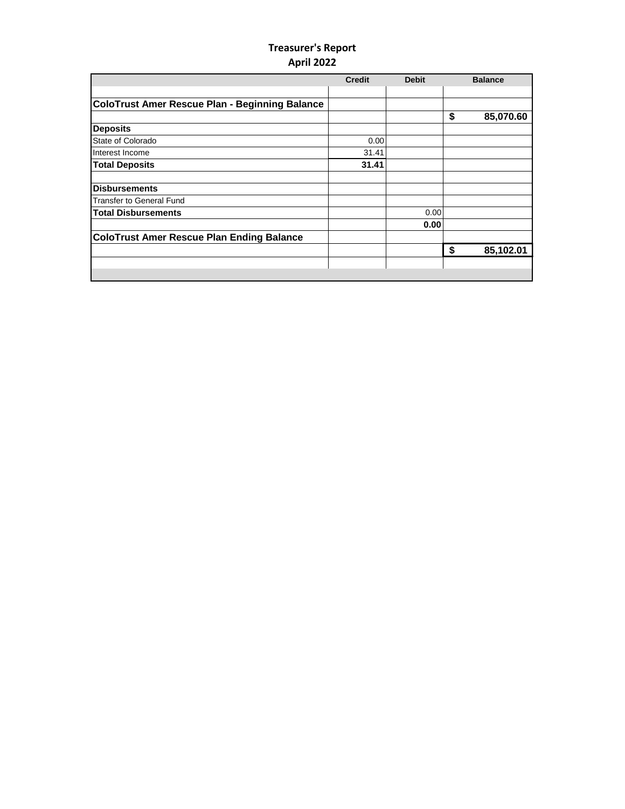## **Treasurer's Report April 2022**

|                                                       | <b>Credit</b> | <b>Debit</b> | <b>Balance</b>  |
|-------------------------------------------------------|---------------|--------------|-----------------|
|                                                       |               |              |                 |
| <b>ColoTrust Amer Rescue Plan - Beginning Balance</b> |               |              |                 |
|                                                       |               |              | \$<br>85,070.60 |
| <b>Deposits</b>                                       |               |              |                 |
| State of Colorado                                     | 0.00          |              |                 |
| Interest Income                                       | 31.41         |              |                 |
| <b>Total Deposits</b>                                 | 31.41         |              |                 |
| <b>Disbursements</b>                                  |               |              |                 |
| <b>Transfer to General Fund</b>                       |               |              |                 |
| <b>Total Disbursements</b>                            |               | 0.00         |                 |
|                                                       |               | 0.00         |                 |
| <b>ColoTrust Amer Rescue Plan Ending Balance</b>      |               |              |                 |
|                                                       |               |              | \$<br>85,102.01 |
|                                                       |               |              |                 |
|                                                       |               |              |                 |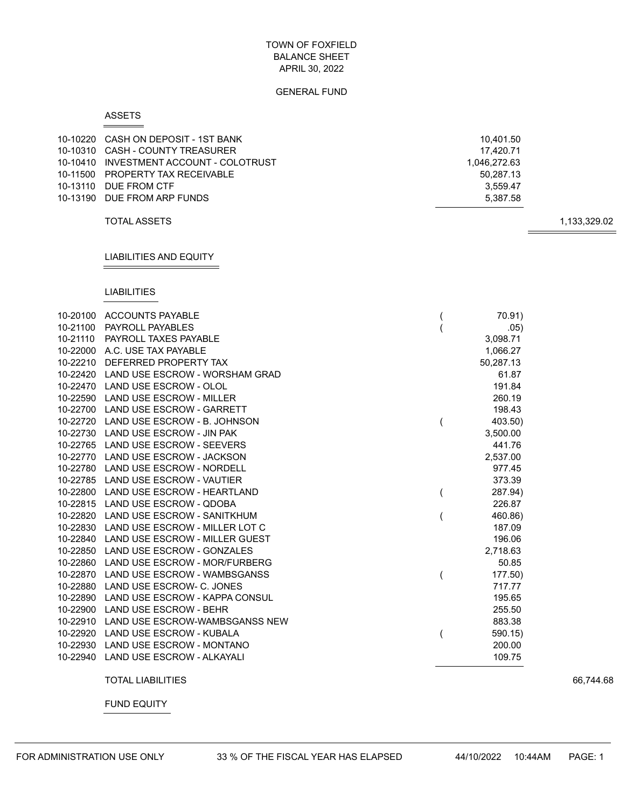#### GENERAL FUND

#### ASSETS

| 10-10220 CASH ON DEPOSIT - 1ST BANK     | 10.401.50    |
|-----------------------------------------|--------------|
| 10-10310 CASH - COUNTY TREASURER        | 17.420.71    |
| 10-10410 INVESTMENT ACCOUNT - COLOTRUST | 1.046.272.63 |
| 10-11500 PROPERTY TAX RECEIVABLE        | 50.287.13    |
| 10-13110 DUE FROM CTF                   | 3.559.47     |
| 10-13190 DUE FROM ARP FUNDS             | 5.387.58     |
|                                         |              |

TOTAL ASSETS 1,133,329.02

# LIABILITIES AND EQUITY

#### LIABILITIES

|          | 10-20100 ACCOUNTS PAYABLE               | 70.91)    |
|----------|-----------------------------------------|-----------|
| 10-21100 | <b>PAYROLL PAYABLES</b>                 | .05)      |
| 10-21110 | PAYROLL TAXES PAYABLE                   | 3,098.71  |
|          | 10-22000 A.C. USE TAX PAYABLE           | 1,066.27  |
| 10-22210 | DEFERRED PROPERTY TAX                   | 50,287.13 |
| 10-22420 | LAND USE ESCROW - WORSHAM GRAD          | 61.87     |
| 10-22470 | LAND USE ESCROW - OLOL                  | 191.84    |
| 10-22590 | <b>LAND USE ESCROW - MILLER</b>         | 260.19    |
|          | 10-22700 LAND USE ESCROW - GARRETT      | 198.43    |
|          | 10-22720 LAND USE ESCROW - B. JOHNSON   | 403.50)   |
|          | 10-22730 LAND USE ESCROW - JIN PAK      | 3,500.00  |
|          | 10-22765 LAND USE ESCROW - SEEVERS      | 441.76    |
|          | 10-22770 LAND USE ESCROW - JACKSON      | 2,537.00  |
|          | 10-22780 LAND USE ESCROW - NORDELL      | 977.45    |
|          | 10-22785 LAND USE ESCROW - VAUTIER      | 373.39    |
|          | 10-22800 LAND USE ESCROW - HEARTLAND    | 287.94)   |
|          | 10-22815 LAND USE ESCROW - QDOBA        | 226.87    |
| 10-22820 | LAND USE ESCROW - SANITKHUM             | 460.86)   |
|          | 10-22830 LAND USE ESCROW - MILLER LOT C | 187.09    |
| 10-22840 | LAND USE ESCROW - MILLER GUEST          | 196.06    |
| 10-22850 | LAND USE ESCROW - GONZALES              | 2,718.63  |
| 10-22860 | LAND USE ESCROW - MOR/FURBERG           | 50.85     |
|          | 10-22870 LAND USE ESCROW - WAMBSGANSS   | 177.50)   |
| 10-22880 | LAND USE ESCROW- C. JONES               | 717.77    |
| 10-22890 | LAND USE ESCROW - KAPPA CONSUL          | 195.65    |
|          | 10-22900 LAND USE ESCROW - BEHR         | 255.50    |
| 10-22910 | LAND USE ESCROW-WAMBSGANSS NEW          | 883.38    |
|          | 10-22920 LAND USE ESCROW - KUBALA       | 590.15)   |
| 10-22930 | <b>LAND USE ESCROW - MONTANO</b>        | 200.00    |
|          | 10-22940 LAND USE ESCROW - ALKAYALI     | 109.75    |

TOTAL LIABILITIES 66,744.68

FUND EQUITY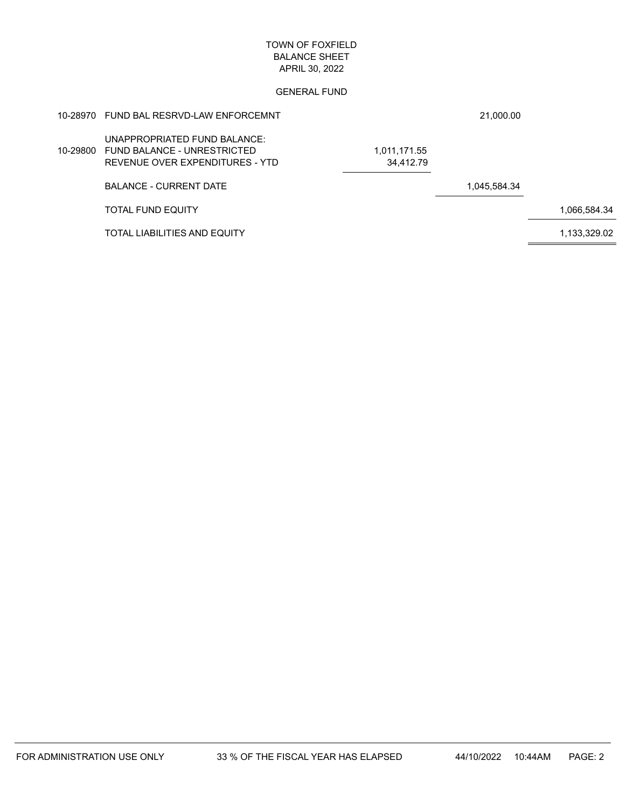|          | 10-28970 FUND BAL RESRVD-LAW ENFORCEMNT                                                        |                           | 21,000.00    |              |
|----------|------------------------------------------------------------------------------------------------|---------------------------|--------------|--------------|
| 10-29800 | UNAPPROPRIATED FUND BALANCE:<br>FUND BALANCE - UNRESTRICTED<br>REVENUE OVER EXPENDITURES - YTD | 1,011,171.55<br>34.412.79 |              |              |
|          | <b>BALANCE - CURRENT DATE</b>                                                                  |                           | 1,045,584.34 |              |
|          | <b>TOTAL FUND EQUITY</b>                                                                       |                           |              | 1,066,584.34 |
|          | TOTAL LIABILITIES AND EQUITY                                                                   |                           |              | 1,133,329.02 |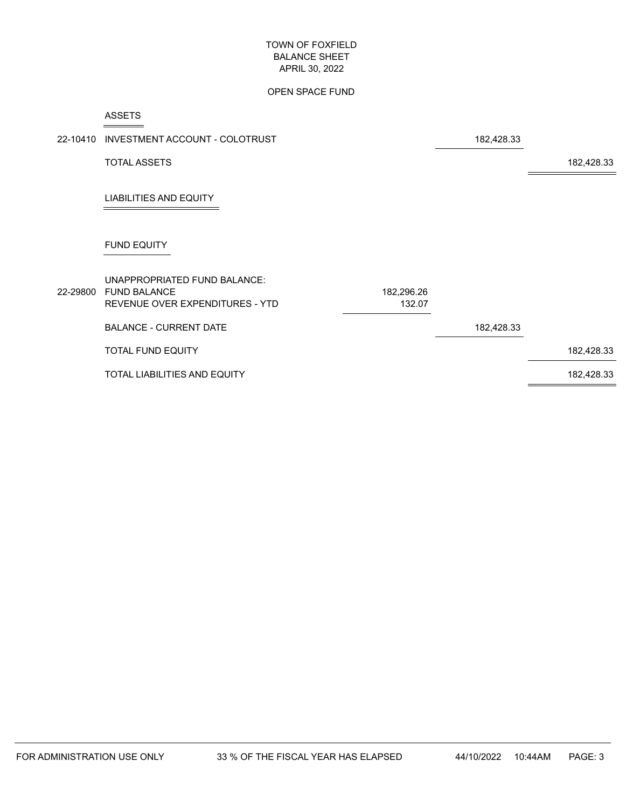#### OPEN SPACE FUND

#### ASSETS

 $\overline{\phantom{a}}$ 

 $\overline{\phantom{a}}$ 

|          | 22-10410 INVESTMENT ACCOUNT - COLOTRUST                                                |                      | 182,428.33 |            |
|----------|----------------------------------------------------------------------------------------|----------------------|------------|------------|
|          | <b>TOTAL ASSETS</b>                                                                    |                      |            | 182,428.33 |
|          | <b>LIABILITIES AND EQUITY</b>                                                          |                      |            |            |
|          | <b>FUND EQUITY</b>                                                                     |                      |            |            |
| 22-29800 | UNAPPROPRIATED FUND BALANCE:<br><b>FUND BALANCE</b><br>REVENUE OVER EXPENDITURES - YTD | 182,296.26<br>132.07 |            |            |
|          | <b>BALANCE - CURRENT DATE</b>                                                          |                      | 182,428.33 |            |
|          | <b>TOTAL FUND EQUITY</b>                                                               |                      |            | 182,428.33 |
|          | TOTAL LIABILITIES AND EQUITY                                                           |                      |            | 182,428.33 |
|          |                                                                                        |                      |            |            |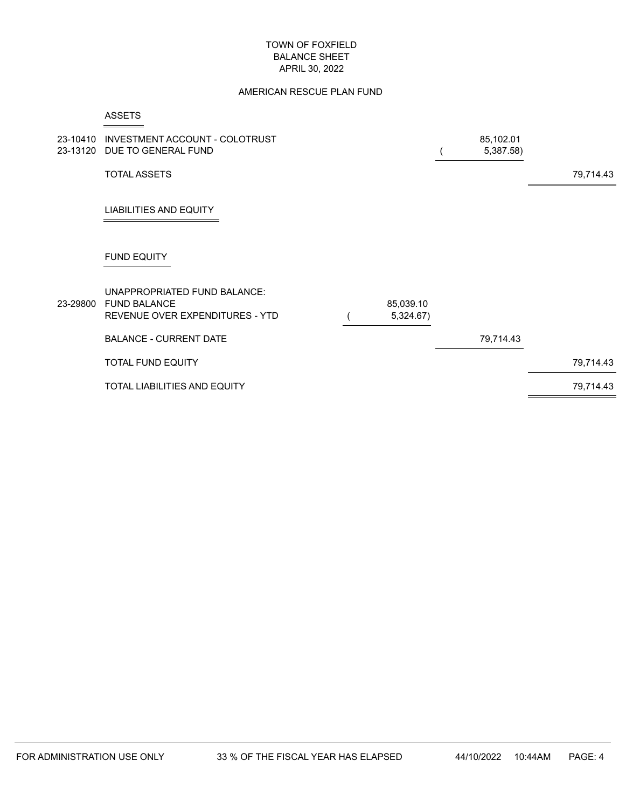#### AMERICAN RESCUE PLAN FUND

|          | <b>ASSETS</b>                                                                          |                        |                        |           |
|----------|----------------------------------------------------------------------------------------|------------------------|------------------------|-----------|
| 23-10410 | INVESTMENT ACCOUNT - COLOTRUST<br>23-13120 DUE TO GENERAL FUND                         |                        | 85,102.01<br>5,387.58) |           |
|          | <b>TOTAL ASSETS</b>                                                                    |                        |                        | 79,714.43 |
|          | <b>LIABILITIES AND EQUITY</b>                                                          |                        |                        |           |
|          | <b>FUND EQUITY</b>                                                                     |                        |                        |           |
| 23-29800 | UNAPPROPRIATED FUND BALANCE:<br><b>FUND BALANCE</b><br>REVENUE OVER EXPENDITURES - YTD | 85,039.10<br>5,324.67) |                        |           |
|          | <b>BALANCE - CURRENT DATE</b>                                                          |                        | 79,714.43              |           |
|          | <b>TOTAL FUND EQUITY</b>                                                               |                        |                        | 79,714.43 |
|          | TOTAL LIABILITIES AND EQUITY                                                           |                        |                        | 79,714.43 |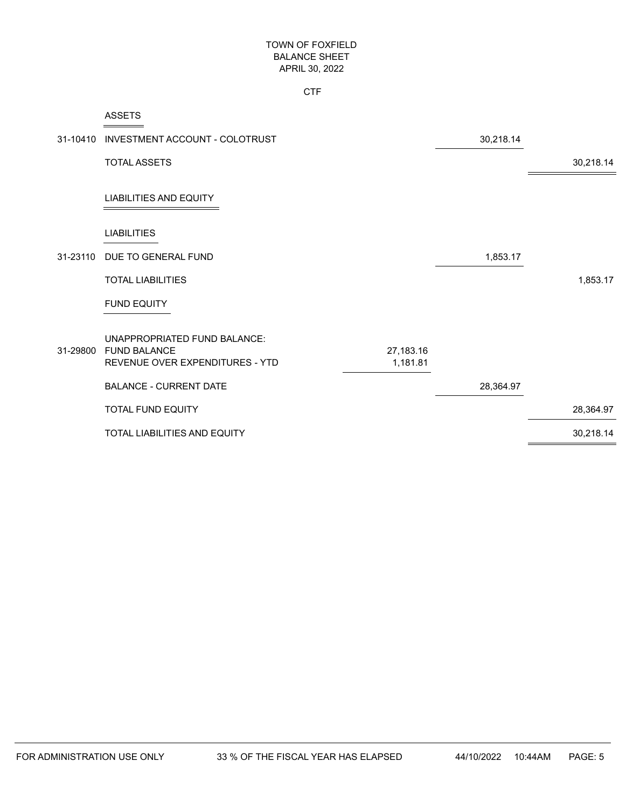**CTF** 

|          | <b>ASSETS</b>                                                                          |                       |           |           |
|----------|----------------------------------------------------------------------------------------|-----------------------|-----------|-----------|
| 31-10410 | INVESTMENT ACCOUNT - COLOTRUST                                                         |                       | 30,218.14 |           |
|          | <b>TOTAL ASSETS</b>                                                                    |                       |           | 30,218.14 |
|          | <b>LIABILITIES AND EQUITY</b>                                                          |                       |           |           |
|          | <b>LIABILITIES</b>                                                                     |                       |           |           |
| 31-23110 | DUE TO GENERAL FUND                                                                    |                       | 1,853.17  |           |
|          | <b>TOTAL LIABILITIES</b>                                                               |                       |           | 1,853.17  |
|          | <b>FUND EQUITY</b>                                                                     |                       |           |           |
| 31-29800 | UNAPPROPRIATED FUND BALANCE:<br><b>FUND BALANCE</b><br>REVENUE OVER EXPENDITURES - YTD | 27,183.16<br>1,181.81 |           |           |
|          | <b>BALANCE - CURRENT DATE</b>                                                          |                       | 28,364.97 |           |
|          | <b>TOTAL FUND EQUITY</b>                                                               |                       |           | 28,364.97 |
|          | TOTAL LIABILITIES AND EQUITY                                                           |                       |           | 30,218.14 |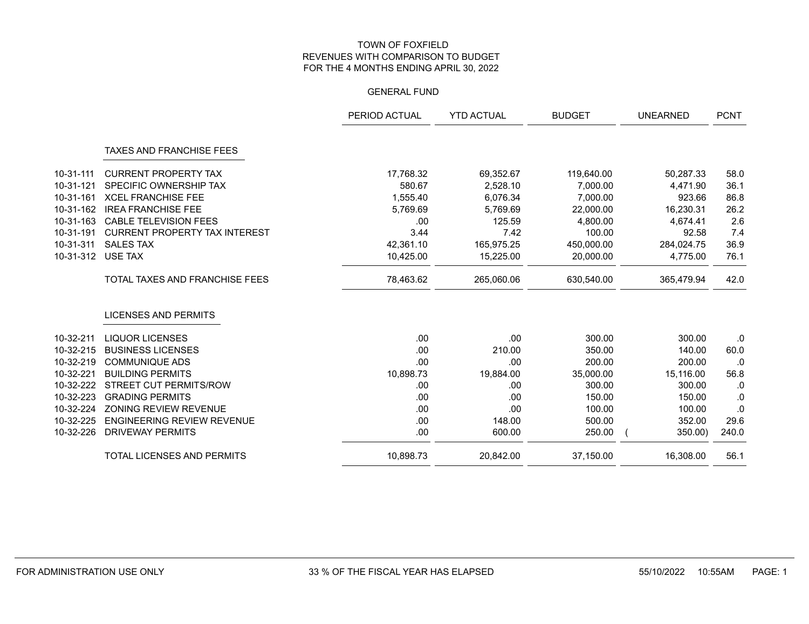|           |                                       | PERIOD ACTUAL | <b>YTD ACTUAL</b> | <b>BUDGET</b> | <b>UNEARNED</b> | <b>PCNT</b> |
|-----------|---------------------------------------|---------------|-------------------|---------------|-----------------|-------------|
|           | <b>TAXES AND FRANCHISE FEES</b>       |               |                   |               |                 |             |
| 10-31-111 | <b>CURRENT PROPERTY TAX</b>           | 17,768.32     | 69,352.67         | 119,640.00    | 50,287.33       | 58.0        |
| 10-31-121 | SPECIFIC OWNERSHIP TAX                | 580.67        | 2,528.10          | 7,000.00      | 4,471.90        | 36.1        |
| 10-31-161 | <b>XCEL FRANCHISE FEE</b>             | 1,555.40      | 6,076.34          | 7,000.00      | 923.66          | 86.8        |
| 10-31-162 | <b>IREA FRANCHISE FEE</b>             | 5,769.69      | 5,769.69          | 22,000.00     | 16,230.31       | 26.2        |
| 10-31-163 | <b>CABLE TELEVISION FEES</b>          | .00           | 125.59            | 4,800.00      | 4.674.41        | 2.6         |
| 10-31-191 | <b>CURRENT PROPERTY TAX INTEREST</b>  | 3.44          | 7.42              | 100.00        | 92.58           | 7.4         |
| 10-31-311 | <b>SALES TAX</b>                      | 42,361.10     | 165,975.25        | 450,000.00    | 284,024.75      | 36.9        |
| 10-31-312 | USE TAX                               | 10,425.00     | 15,225.00         | 20,000.00     | 4,775.00        | 76.1        |
|           | <b>TOTAL TAXES AND FRANCHISE FEES</b> | 78,463.62     | 265,060.06        | 630,540.00    | 365,479.94      | 42.0        |
|           | <b>LICENSES AND PERMITS</b>           |               |                   |               |                 |             |
| 10-32-211 | <b>LIQUOR LICENSES</b>                | .00           | .00               | 300.00        | 300.00          | 0.          |
| 10-32-215 | <b>BUSINESS LICENSES</b>              | .00           | 210.00            | 350.00        | 140.00          | 60.0        |
| 10-32-219 | <b>COMMUNIQUE ADS</b>                 | .00           | .00               | 200.00        | 200.00          | .0          |
| 10-32-221 | <b>BUILDING PERMITS</b>               | 10,898.73     | 19,884.00         | 35,000.00     | 15,116.00       | 56.8        |
| 10-32-222 | <b>STREET CUT PERMITS/ROW</b>         | .00           | .00               | 300.00        | 300.00          | 0.          |
| 10-32-223 | <b>GRADING PERMITS</b>                | .00           | .00               | 150.00        | 150.00          | 0.          |
| 10-32-224 | ZONING REVIEW REVENUE                 | .00           | .00               | 100.00        | 100.00          | .0          |
| 10-32-225 | <b>ENGINEERING REVIEW REVENUE</b>     | .00           | 148.00            | 500.00        | 352.00          | 29.6        |
| 10-32-226 | <b>DRIVEWAY PERMITS</b>               | .00           | 600.00            | 250.00        | 350.00)         | 240.0       |
|           | TOTAL LICENSES AND PERMITS            | 10,898.73     | 20,842.00         | 37,150.00     | 16,308.00       | 56.1        |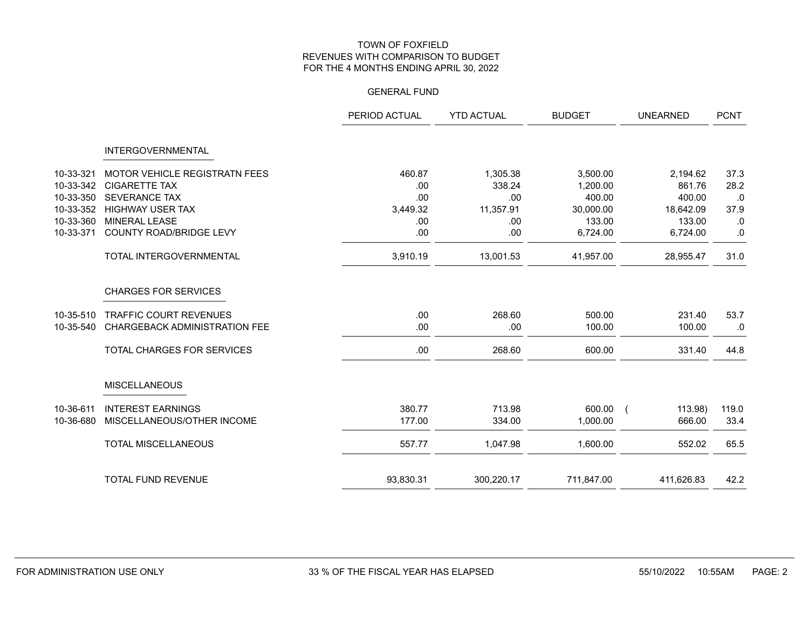|           |                                      | PERIOD ACTUAL | <b>YTD ACTUAL</b> | <b>BUDGET</b> | <b>UNEARNED</b> | <b>PCNT</b> |
|-----------|--------------------------------------|---------------|-------------------|---------------|-----------------|-------------|
|           | <b>INTERGOVERNMENTAL</b>             |               |                   |               |                 |             |
| 10-33-321 | MOTOR VEHICLE REGISTRATN FEES        | 460.87        | 1,305.38          | 3,500.00      | 2,194.62        | 37.3        |
| 10-33-342 | <b>CIGARETTE TAX</b>                 | .00           | 338.24            | 1,200.00      | 861.76          | 28.2        |
| 10-33-350 | <b>SEVERANCE TAX</b>                 | .00           | .00               | 400.00        | 400.00          | .0          |
| 10-33-352 | <b>HIGHWAY USER TAX</b>              | 3,449.32      | 11,357.91         | 30,000.00     | 18,642.09       | 37.9        |
| 10-33-360 | <b>MINERAL LEASE</b>                 | .00.          | .00               | 133.00        | 133.00          | .0          |
| 10-33-371 | COUNTY ROAD/BRIDGE LEVY              | .00           | .00               | 6,724.00      | 6,724.00        | $.0\,$      |
|           | TOTAL INTERGOVERNMENTAL              | 3,910.19      | 13,001.53         | 41,957.00     | 28,955.47       | 31.0        |
|           | <b>CHARGES FOR SERVICES</b>          |               |                   |               |                 |             |
| 10-35-510 | <b>TRAFFIC COURT REVENUES</b>        | .00           | 268.60            | 500.00        | 231.40          | 53.7        |
| 10-35-540 | <b>CHARGEBACK ADMINISTRATION FEE</b> | .00           | .00               | 100.00        | 100.00          | .0          |
|           | TOTAL CHARGES FOR SERVICES           | .00           | 268.60            | 600.00        | 331.40          | 44.8        |
|           | <b>MISCELLANEOUS</b>                 |               |                   |               |                 |             |
| 10-36-611 | <b>INTEREST EARNINGS</b>             | 380.77        | 713.98            | 600.00 (      | 113.98)         | 119.0       |
| 10-36-680 | MISCELLANEOUS/OTHER INCOME           | 177.00        | 334.00            | 1,000.00      | 666.00          | 33.4        |
|           | <b>TOTAL MISCELLANEOUS</b>           | 557.77        | 1,047.98          | 1,600.00      | 552.02          | 65.5        |
|           | <b>TOTAL FUND REVENUE</b>            | 93,830.31     | 300,220.17        | 711,847.00    | 411,626.83      | 42.2        |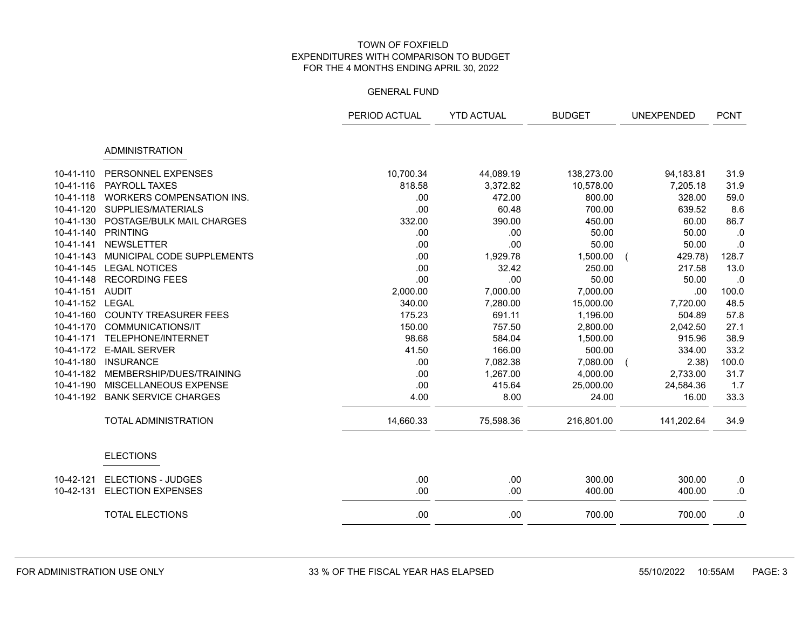|           |                                  | PERIOD ACTUAL | <b>YTD ACTUAL</b> | <b>BUDGET</b> | <b>UNEXPENDED</b> | <b>PCNT</b> |
|-----------|----------------------------------|---------------|-------------------|---------------|-------------------|-------------|
|           | <b>ADMINISTRATION</b>            |               |                   |               |                   |             |
| 10-41-110 | PERSONNEL EXPENSES               | 10,700.34     | 44,089.19         | 138,273.00    | 94,183.81         | 31.9        |
| 10-41-116 | PAYROLL TAXES                    | 818.58        | 3,372.82          | 10,578.00     | 7,205.18          | 31.9        |
| 10-41-118 | <b>WORKERS COMPENSATION INS.</b> | .00           | 472.00            | 800.00        | 328.00            | 59.0        |
| 10-41-120 | SUPPLIES/MATERIALS               | .00           | 60.48             | 700.00        | 639.52            | 8.6         |
| 10-41-130 | POSTAGE/BULK MAIL CHARGES        | 332.00        | 390.00            | 450.00        | 60.00             | 86.7        |
| 10-41-140 | <b>PRINTING</b>                  | .00           | .00               | 50.00         | 50.00             | .0          |
| 10-41-141 | <b>NEWSLETTER</b>                | .00           | .00               | 50.00         | 50.00             | $\cdot 0$   |
| 10-41-143 | MUNICIPAL CODE SUPPLEMENTS       | .00           | 1,929.78          | 1,500.00      | 429.78)           | 128.7       |
| 10-41-145 | <b>LEGAL NOTICES</b>             | .00           | 32.42             | 250.00        | 217.58            | 13.0        |
| 10-41-148 | <b>RECORDING FEES</b>            | .00           | .00               | 50.00         | 50.00             | .0          |
| 10-41-151 | <b>AUDIT</b>                     | 2,000.00      | 7,000.00          | 7,000.00      | .00               | 100.0       |
| 10-41-152 | LEGAL                            | 340.00        | 7,280.00          | 15,000.00     | 7,720.00          | 48.5        |
| 10-41-160 | <b>COUNTY TREASURER FEES</b>     | 175.23        | 691.11            | 1,196.00      | 504.89            | 57.8        |
| 10-41-170 | <b>COMMUNICATIONS/IT</b>         | 150.00        | 757.50            | 2,800.00      | 2,042.50          | 27.1        |
| 10-41-171 | TELEPHONE/INTERNET               | 98.68         | 584.04            | 1,500.00      | 915.96            | 38.9        |
| 10-41-172 | <b>E-MAIL SERVER</b>             | 41.50         | 166.00            | 500.00        | 334.00            | 33.2        |
| 10-41-180 | <b>INSURANCE</b>                 | .00           | 7,082.38          | 7,080.00      | 2.38)             | 100.0       |
| 10-41-182 | MEMBERSHIP/DUES/TRAINING         | .00           | 1,267.00          | 4,000.00      | 2,733.00          | 31.7        |
| 10-41-190 | MISCELLANEOUS EXPENSE            | .00           | 415.64            | 25,000.00     | 24,584.36         | 1.7         |
| 10-41-192 | <b>BANK SERVICE CHARGES</b>      | 4.00          | 8.00              | 24.00         | 16.00             | 33.3        |
|           | <b>TOTAL ADMINISTRATION</b>      | 14,660.33     | 75,598.36         | 216,801.00    | 141,202.64        | 34.9        |
|           | <b>ELECTIONS</b>                 |               |                   |               |                   |             |
| 10-42-121 | <b>ELECTIONS - JUDGES</b>        | .00           | .00               | 300.00        | 300.00            | $0.5\,$     |
| 10-42-131 | <b>ELECTION EXPENSES</b>         | .00           | .00               | 400.00        | 400.00            | .0          |
|           | <b>TOTAL ELECTIONS</b>           | .00           | .00               | 700.00        | 700.00            | .0          |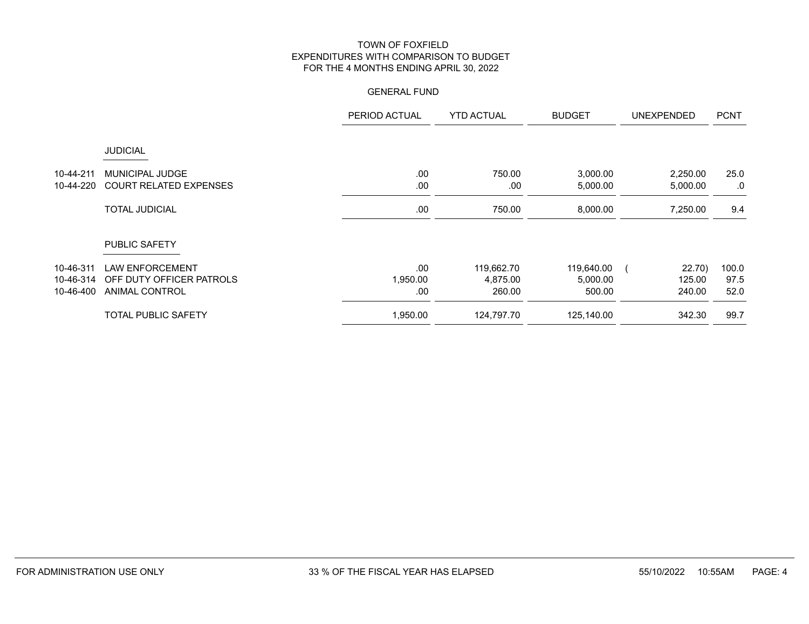|           |                               | PERIOD ACTUAL | <b>YTD ACTUAL</b> | <b>BUDGET</b> | <b>UNEXPENDED</b> | <b>PCNT</b> |
|-----------|-------------------------------|---------------|-------------------|---------------|-------------------|-------------|
|           | <b>JUDICIAL</b>               |               |                   |               |                   |             |
| 10-44-211 | <b>MUNICIPAL JUDGE</b>        | .00           | 750.00            | 3,000.00      | 2,250.00          | 25.0        |
| 10-44-220 | <b>COURT RELATED EXPENSES</b> | .00           | .00               | 5,000.00      | 5,000.00          | .0          |
|           | <b>TOTAL JUDICIAL</b>         | .00           | 750.00            | 8,000.00      | 7,250.00          | 9.4         |
|           | <b>PUBLIC SAFETY</b>          |               |                   |               |                   |             |
| 10-46-311 | <b>LAW ENFORCEMENT</b>        | .00           | 119,662.70        | 119,640.00    | 22.70)            | 100.0       |
| 10-46-314 | OFF DUTY OFFICER PATROLS      | 1,950.00      | 4,875.00          | 5,000.00      | 125.00            | 97.5        |
| 10-46-400 | <b>ANIMAL CONTROL</b>         | .00           | 260.00            | 500.00        | 240.00            | 52.0        |
|           | <b>TOTAL PUBLIC SAFETY</b>    | 1,950.00      | 124,797.70        | 125,140.00    | 342.30            | 99.7        |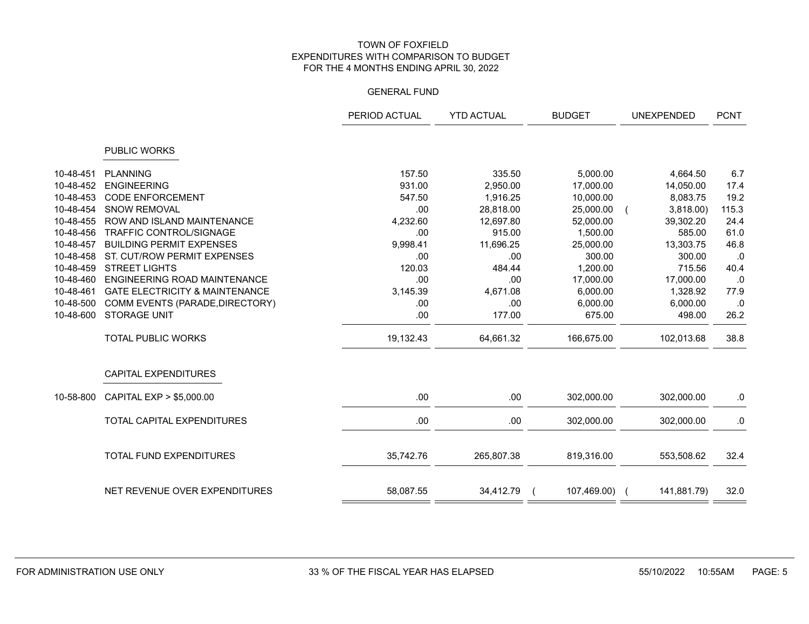|           |                                           | PERIOD ACTUAL | <b>YTD ACTUAL</b> | <b>BUDGET</b> |             | <b>PCNT</b> |
|-----------|-------------------------------------------|---------------|-------------------|---------------|-------------|-------------|
|           | <b>PUBLIC WORKS</b>                       |               |                   |               |             |             |
| 10-48-451 | <b>PLANNING</b>                           | 157.50        | 335.50            | 5,000.00      | 4,664.50    | 6.7         |
| 10-48-452 | <b>ENGINEERING</b>                        | 931.00        | 2,950.00          | 17,000.00     | 14,050.00   | 17.4        |
| 10-48-453 | <b>CODE ENFORCEMENT</b>                   | 547.50        | 1,916.25          | 10,000.00     | 8,083.75    | 19.2        |
| 10-48-454 | <b>SNOW REMOVAL</b>                       | .00           | 28,818.00         | 25,000.00     | 3,818.00    | 115.3       |
| 10-48-455 | ROW AND ISLAND MAINTENANCE                | 4,232.60      | 12,697.80         | 52,000.00     | 39,302.20   | 24.4        |
| 10-48-456 | <b>TRAFFIC CONTROL/SIGNAGE</b>            | .00           | 915.00            | 1.500.00      | 585.00      | 61.0        |
| 10-48-457 | <b>BUILDING PERMIT EXPENSES</b>           | 9,998.41      | 11,696.25         | 25,000.00     | 13,303.75   | 46.8        |
| 10-48-458 | ST. CUT/ROW PERMIT EXPENSES               | .00           | .00               | 300.00        | 300.00      | .0          |
| 10-48-459 | <b>STREET LIGHTS</b>                      | 120.03        | 484.44            | 1,200.00      | 715.56      | 40.4        |
| 10-48-460 | <b>ENGINEERING ROAD MAINTENANCE</b>       | .00           | .00               | 17,000.00     | 17,000.00   | .0          |
| 10-48-461 | <b>GATE ELECTRICITY &amp; MAINTENANCE</b> | 3,145.39      | 4,671.08          | 6,000.00      | 1,328.92    | 77.9        |
| 10-48-500 | COMM EVENTS (PARADE, DIRECTORY)           | .00.          | .00               | 6,000.00      | 6,000.00    | .0          |
| 10-48-600 | <b>STORAGE UNIT</b>                       | .00           | 177.00            | 675.00        | 498.00      | 26.2        |
|           | <b>TOTAL PUBLIC WORKS</b>                 | 19,132.43     | 64,661.32         | 166,675.00    | 102,013.68  | 38.8        |
|           | <b>CAPITAL EXPENDITURES</b>               |               |                   |               |             |             |
| 10-58-800 | CAPITAL EXP > \$5,000.00                  | .00           | .00               | 302,000.00    | 302,000.00  | .0          |
|           | <b>TOTAL CAPITAL EXPENDITURES</b>         | .00           | .00               | 302,000.00    | 302,000.00  | .0          |
|           | <b>TOTAL FUND EXPENDITURES</b>            | 35,742.76     | 265,807.38        | 819,316.00    | 553,508.62  | 32.4        |
|           |                                           |               |                   |               |             |             |
|           | NET REVENUE OVER EXPENDITURES             | 58,087.55     | 34,412.79         | 107,469.00) ( | 141,881.79) | 32.0        |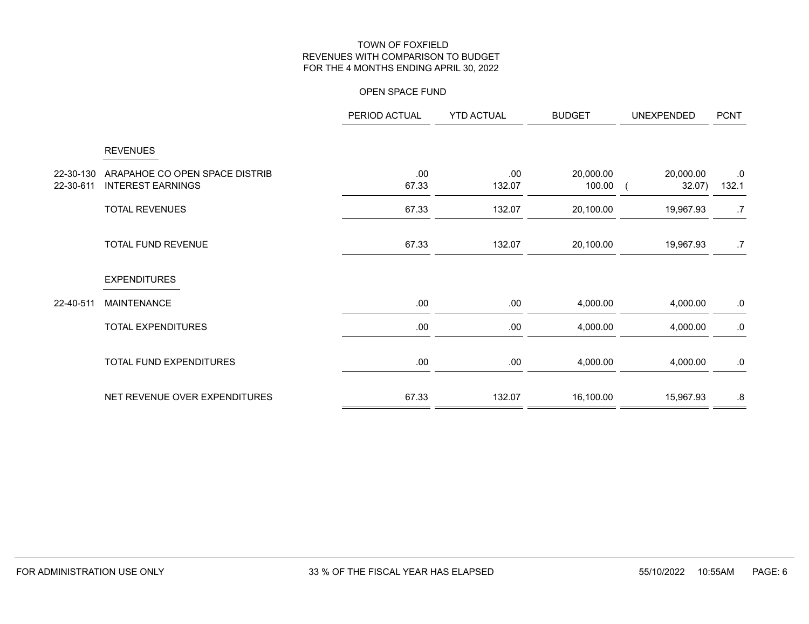### OPEN SPACE FUND

|                        |                                                            | PERIOD ACTUAL | <b>YTD ACTUAL</b> | <b>BUDGET</b>       | <b>UNEXPENDED</b>   | <b>PCNT</b>         |
|------------------------|------------------------------------------------------------|---------------|-------------------|---------------------|---------------------|---------------------|
|                        | <b>REVENUES</b>                                            |               |                   |                     |                     |                     |
| 22-30-130<br>22-30-611 | ARAPAHOE CO OPEN SPACE DISTRIB<br><b>INTEREST EARNINGS</b> | .00<br>67.33  | .00<br>132.07     | 20,000.00<br>100.00 | 20,000.00<br>32.07) | ${\bf .0}$<br>132.1 |
|                        | <b>TOTAL REVENUES</b>                                      | 67.33         | 132.07            | 20,100.00           | 19,967.93           | .7                  |
|                        | TOTAL FUND REVENUE                                         | 67.33         | 132.07            | 20,100.00           | 19,967.93           | .7                  |
|                        | <b>EXPENDITURES</b>                                        |               |                   |                     |                     |                     |
| 22-40-511              | <b>MAINTENANCE</b>                                         | .00           | .00.              | 4,000.00            | 4,000.00            | ${\bf .0}$          |
|                        | <b>TOTAL EXPENDITURES</b>                                  | .00           | .00.              | 4,000.00            | 4,000.00            | ${\bf .0}$          |
|                        | TOTAL FUND EXPENDITURES                                    | .00           | .00.              | 4,000.00            | 4,000.00            | ${\bf .0}$          |
|                        | NET REVENUE OVER EXPENDITURES                              | 67.33         | 132.07            | 16,100.00           | 15,967.93           | .8                  |
|                        |                                                            |               |                   |                     |                     |                     |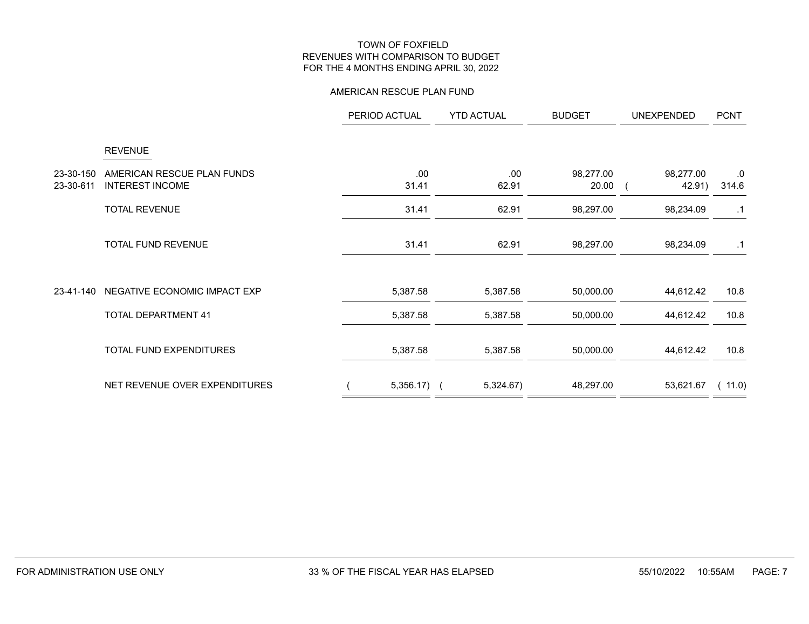#### AMERICAN RESCUE PLAN FUND

|                        |                                                      | PERIOD ACTUAL | <b>YTD ACTUAL</b> | <b>BUDGET</b>      | <b>UNEXPENDED</b>   | <b>PCNT</b> |  |
|------------------------|------------------------------------------------------|---------------|-------------------|--------------------|---------------------|-------------|--|
|                        | <b>REVENUE</b>                                       |               |                   |                    |                     |             |  |
| 23-30-150<br>23-30-611 | AMERICAN RESCUE PLAN FUNDS<br><b>INTEREST INCOME</b> | .00<br>31.41  | .00<br>62.91      | 98,277.00<br>20.00 | 98,277.00<br>42.91) | .0<br>314.6 |  |
|                        | <b>TOTAL REVENUE</b>                                 | 31.41         | 62.91             | 98,297.00          | 98,234.09           | $\cdot$ 1   |  |
|                        | TOTAL FUND REVENUE                                   | 31.41         | 62.91             | 98,297.00          | 98,234.09           | $\cdot$ 1   |  |
| 23-41-140              | NEGATIVE ECONOMIC IMPACT EXP                         | 5,387.58      | 5,387.58          | 50,000.00          | 44,612.42           | 10.8        |  |
|                        | <b>TOTAL DEPARTMENT 41</b>                           | 5,387.58      | 5,387.58          | 50,000.00          | 44,612.42           | 10.8        |  |
|                        | TOTAL FUND EXPENDITURES                              | 5,387.58      | 5,387.58          | 50,000.00          | 44,612.42           | 10.8        |  |
|                        | NET REVENUE OVER EXPENDITURES                        | $5,356.17)$ ( | 5,324.67)         | 48,297.00          | 53,621.67           | (11.0)      |  |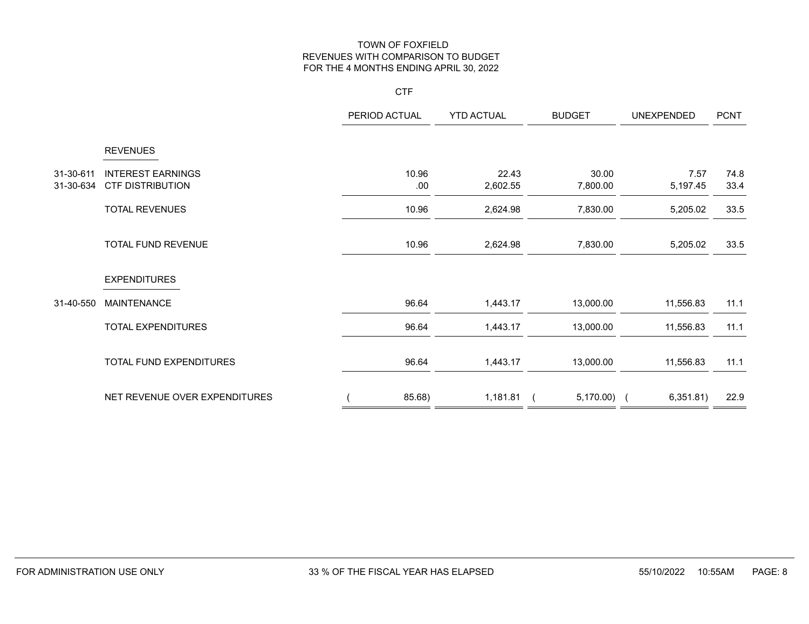#### **CTF**

|                        |                                                     | PERIOD ACTUAL | <b>YTD ACTUAL</b> | <b>BUDGET</b>     | <b>UNEXPENDED</b> | <b>PCNT</b>  |
|------------------------|-----------------------------------------------------|---------------|-------------------|-------------------|-------------------|--------------|
|                        | <b>REVENUES</b>                                     |               |                   |                   |                   |              |
| 31-30-611<br>31-30-634 | <b>INTEREST EARNINGS</b><br><b>CTF DISTRIBUTION</b> | 10.96<br>.00  | 22.43<br>2,602.55 | 30.00<br>7,800.00 | 7.57<br>5,197.45  | 74.8<br>33.4 |
|                        | <b>TOTAL REVENUES</b>                               | 10.96         | 2,624.98          | 7,830.00          | 5,205.02          | 33.5         |
|                        | <b>TOTAL FUND REVENUE</b>                           | 10.96         | 2,624.98          | 7,830.00          | 5,205.02          | 33.5         |
|                        | <b>EXPENDITURES</b>                                 |               |                   |                   |                   |              |
| 31-40-550              | <b>MAINTENANCE</b>                                  | 96.64         | 1,443.17          | 13,000.00         | 11,556.83         | 11.1         |
|                        | <b>TOTAL EXPENDITURES</b>                           | 96.64         | 1,443.17          | 13,000.00         | 11,556.83         | 11.1         |
|                        | TOTAL FUND EXPENDITURES                             | 96.64         | 1,443.17          | 13,000.00         | 11,556.83         | 11.1         |
|                        | NET REVENUE OVER EXPENDITURES                       | 85.68)        | 1,181.81          | $5,170.00$ (      | 6,351.81)         | 22.9         |